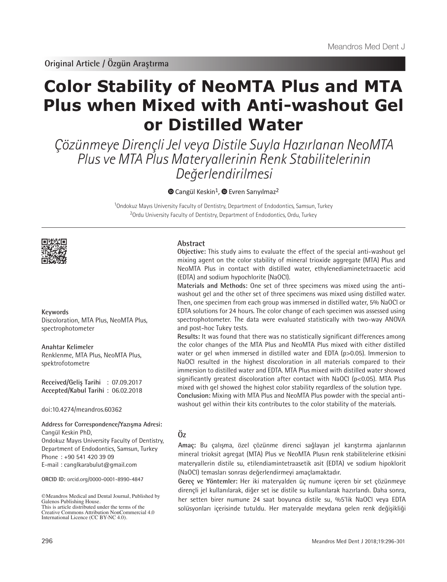**Original Article / Özgün Araştırma**

# **Color Stability of NeoMTA Plus and MTA Plus when Mixed with Anti-washout Gel or Distilled Water**

Çözünmeye Dirençli Jel veya Distile Suyla Hazırlanan NeoMTA Plus ve MTA Plus Materyallerinin Renk Stabilitelerinin Değerlendirilmesi

 $\bullet$ Cangül Keskin<sup>1</sup>,  $\bullet$  Evren Sarıyılmaz<sup>2</sup>

<sup>1</sup>Ondokuz Mayıs University Faculty of Dentistry, Department of Endodontics, Samsun, Turkey <sup>2</sup>Ordu University Faculty of Dentistry, Department of Endodontics, Ordu, Turkey



#### **Keywords**

Discoloration, MTA Plus, NeoMTA Plus, spectrophotometer

**Anahtar Kelimeler** Renklenme, MTA Plus, NeoMTA Plus, spektrofotometre

**Received/Geliş Tarihi** : 07.09.2017 **Accepted/Kabul Tarihi** : 06.02.2018

doi:10.4274/meandros.60362

**Address for Correspondence/Yazışma Adresi:** Cangül Keskin PhD, Ondokuz Mayıs University Faculty of Dentistry, Department of Endodontics, Samsun, Turkey Phone : +90 541 420 39 09 E-mail : canglkarabulut@gmail.com

**ORCID ID:** orcid.org/0000-0001-8990-4847

©Meandros Medical and Dental Journal, Published by Galenos Publishing House. This is article distributed under the terms of the

Creative Commons Attribution NonCommercial 4.0 International Licence (CC BY-NC 4.0).

## **Abstract**

**Objective:** This study aims to evaluate the effect of the special anti-washout gel mixing agent on the color stability of mineral trioxide aggregate (MTA) Plus and NeoMTA Plus in contact with distilled water, ethylenediaminetetraacetic acid (EDTA) and sodium hypochlorite (NaOCl).

**Materials and Methods:** One set of three specimens was mixed using the antiwashout gel and the other set of three specimens was mixed using distilled water. Then, one specimen from each group was immersed in distilled water, 5% NaOCl or EDTA solutions for 24 hours. The color change of each specimen was assessed using spectrophotometer. The data were evaluated statistically with two-way ANOVA and post-hoc Tukey tests.

**Results:** It was found that there was no statistically significant differences among the color changes of the MTA Plus and NeoMTA Plus mixed with either distilled water or gel when immersed in distilled water and EDTA (p>0.05). Immersion to NaOCl resulted in the highest discoloration in all materials compared to their immersion to distilled water and EDTA. MTA Plus mixed with distilled water showed significantly greatest discoloration after contact with NaOCl (p<0.05). MTA Plus mixed with gel showed the highest color stability regardless of the solution type. **Conclusion:** Mixing with MTA Plus and NeoMTA Plus powder with the special antiwashout gel within their kits contributes to the color stability of the materials.

## **Öz**

**Amaç:** Bu çalışma, özel çözünme direnci sağlayan jel karıştırma ajanlarının mineral trioksit agregat (MTA) Plus ve NeoMTA Plusın renk stabilitelerine etkisini materyallerin distile su, etilendiamintetraasetik asit (EDTA) ve sodium hipoklorit (NaOCl) temasları sonrası değerlendirmeyi amaçlamaktadır.

**Gereç ve Yöntemler:** Her iki materyalden üç numune içeren bir set çözünmeye dirençli jel kullanılarak, diğer set ise distile su kullanılarak hazırlandı. Daha sonra, her setten birer numune 24 saat boyunca distile su, %5'lik NaOCl veya EDTA solüsyonları içerisinde tutuldu. Her materyalde meydana gelen renk değişikliği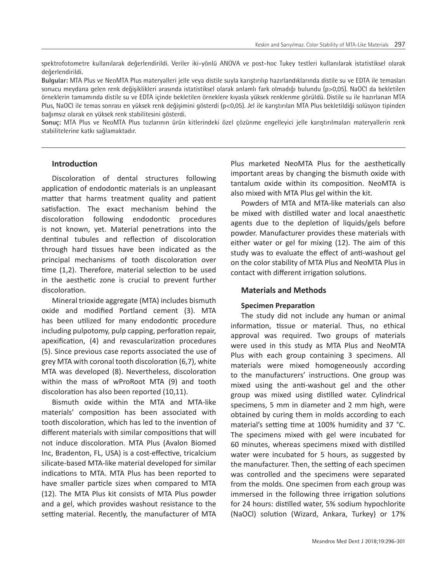spektrofotometre kullanılarak değerlendirildi. Veriler iki-yönlü ANOVA ve post-hoc Tukey testleri kullanılarak istatistiksel olarak değerlendirildi.

**Bulgular:** MTA Plus ve NeoMTA Plus materyalleri jelle veya distile suyla karıştırılıp hazırlandıklarında distile su ve EDTA ile temasları sonucu meydana gelen renk değişiklikleri arasında istatistiksel olarak anlamlı fark olmadığı bulundu (p>0,05). NaOCl da bekletilen örneklerin tamamında distile su ve EDTA içinde bekletilen örneklere kıyasla yüksek renklenme görüldü. Distile su ile hazırlanan MTA Plus, NaOCl ile temas sonrası en yüksek renk değişimini gösterdi (p<0,05). Jel ile karıştırılan MTA Plus bekletildiği solüsyon tipinden bağımsız olarak en yüksek renk stabilitesini gösterdi.

**Sonuç:** MTA Plus ve NeoMTA Plus tozlarının ürün kitlerindeki özel çözünme engelleyici jelle karıştırılmaları materyallerin renk stabilitelerine katkı sağlamaktadır.

## **Introduction**

Discoloration of dental structures following application of endodontic materials is an unpleasant matter that harms treatment quality and patient satisfaction. The exact mechanism behind the discoloration following endodontic procedures is not known, yet. Material penetrations into the dentinal tubules and reflection of discoloration through hard tissues have been indicated as the principal mechanisms of tooth discoloration over time (1,2). Therefore, material selection to be used in the aesthetic zone is crucial to prevent further discoloration.

Mineral trioxide aggregate (MTA) includes bismuth oxide and modified Portland cement (3). MTA has been utilized for many endodontic procedure including pulpotomy, pulp capping, perforation repair, apexification, (4) and revascularization procedures (5). Since previous case reports associated the use of grey MTA with coronal tooth discoloration (6,7), white MTA was developed (8). Nevertheless, discoloration within the mass of wProRoot MTA (9) and tooth discoloration has also been reported (10,11).

Bismuth oxide within the MTA and MTA-like materials' composition has been associated with tooth discoloration, which has led to the invention of different materials with similar compositions that will not induce discoloration. MTA Plus (Avalon Biomed Inc, Bradenton, FL, USA) is a cost-effective, tricalcium silicate-based MTA-like material developed for similar indications to MTA. MTA Plus has been reported to have smaller particle sizes when compared to MTA (12). The MTA Plus kit consists of MTA Plus powder and a gel, which provides washout resistance to the setting material. Recently, the manufacturer of MTA Plus marketed NeoMTA Plus for the aesthetically important areas by changing the bismuth oxide with tantalum oxide within its composition. NeoMTA is also mixed with MTA Plus gel within the kit.

Powders of MTA and MTA-like materials can also be mixed with distilled water and local anaesthetic agents due to the depletion of liquids/gels before powder. Manufacturer provides these materials with either water or gel for mixing (12). The aim of this study was to evaluate the effect of anti-washout gel on the color stability of MTA Plus and NeoMTA Plus in contact with different irrigation solutions.

## **Materials and Methods**

## **Specimen Preparation**

The study did not include any human or animal information, tissue or material. Thus, no ethical approval was required. Two groups of materials were used in this study as MTA Plus and NeoMTA Plus with each group containing 3 specimens. All materials were mixed homogeneously according to the manufacturers' instructions. One group was mixed using the anti-washout gel and the other group was mixed using distilled water. Cylindrical specimens, 5 mm in diameter and 2 mm high, were obtained by curing them in molds according to each material's setting time at 100% humidity and 37 °C. The specimens mixed with gel were incubated for 60 minutes, whereas specimens mixed with distilled water were incubated for 5 hours, as suggested by the manufacturer. Then, the setting of each specimen was controlled and the specimens were separated from the molds. One specimen from each group was immersed in the following three irrigation solutions for 24 hours: distilled water, 5% sodium hypochlorite (NaOCl) solution (Wizard, Ankara, Turkey) or 17%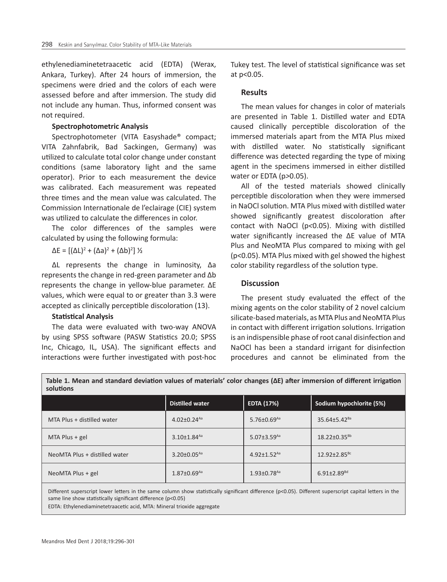ethylenediaminetetraacetic acid (EDTA) (Werax, Ankara, Turkey). After 24 hours of immersion, the specimens were dried and the colors of each were assessed before and after immersion. The study did not include any human. Thus, informed consent was not required.

#### **Spectrophotometric Analysis**

Spectrophotometer (VITA Easyshade® compact; VITA Zahnfabrik, Bad Sackingen, Germany) was utilized to calculate total color change under constant conditions (same laboratory light and the same operator). Prior to each measurement the device was calibrated. Each measurement was repeated three times and the mean value was calculated. The Commission Internationale de l'eclairage (CIE) system was utilized to calculate the differences in color.

The color differences of the samples were calculated by using the following formula:

 $\Delta E = [(\Delta L)^2 + (\Delta a)^2 + (\Delta b)^2]$  ½

ΔL represents the change in luminosity, Δa represents the change in red-green parameter and Δb represents the change in yellow-blue parameter. ΔE values, which were equal to or greater than 3.3 were accepted as clinically perceptible discoloration (13).

## **Statistical Analysis**

The data were evaluated with two-way ANOVA by using SPSS software (PASW Statistics 20.0; SPSS Inc, Chicago, IL, USA). The significant effects and interactions were further investigated with post-hoc Tukey test. The level of statistical significance was set at p<0.05.

#### **Results**

The mean values for changes in color of materials are presented in Table 1. Distilled water and EDTA caused clinically perceptible discoloration of the immersed materials apart from the MTA Plus mixed with distilled water. No statistically significant difference was detected regarding the type of mixing agent in the specimens immersed in either distilled water or EDTA (p*>*0.05).

All of the tested materials showed clinically perceptible discoloration when they were immersed in NaOCl solution. MTA Plus mixed with distilled water showed significantly greatest discoloration after contact with NaOCl (p*<*0.05). Mixing with distilled water significantly increased the ΔE value of MTA Plus and NeoMTA Plus compared to mixing with gel (p<0.05). MTA Plus mixed with gel showed the highest color stability regardless of the solution type.

### **Discussion**

The present study evaluated the effect of the mixing agents on the color stability of 2 novel calcium silicate-based materials, as MTA Plus and NeoMTA Plus in contact with different irrigation solutions. Irrigation is an indispensible phase of root canal disinfection and NaOCl has been a standard irrigant for disinfection procedures and cannot be eliminated from the

| solutions                     |                               |                               |                                |
|-------------------------------|-------------------------------|-------------------------------|--------------------------------|
|                               | <b>Distilled water</b>        | <b>EDTA (17%)</b>             | Sodium hypochlorite (5%)       |
| MTA Plus + distilled water    | $4.02 \pm 0.24$ <sup>Aa</sup> | $5.76 \pm 0.69$ <sup>Aa</sup> | $35.64 \pm 5.42$ <sup>Ba</sup> |
| MTA Plus $+$ gel              | $3.10 \pm 1.84$ <sup>Aa</sup> | $5.07 \pm 3.59$ <sup>Aa</sup> | $18.22 \pm 0.35^{Bb}$          |
| NeoMTA Plus + distilled water | $3.20 \pm 0.05$ <sup>Aa</sup> | $4.92 \pm 1.52$ <sup>Aa</sup> | $12.92 \pm 2.85$ <sup>BC</sup> |
| NeoMTA Plus + gel             | $1.87 \pm 0.69$ <sup>Aa</sup> | $1.93 \pm 0.78$ <sup>Aa</sup> | $6.91 \pm 2.89$ <sup>Bd</sup>  |

**Table 1. Mean and standard deviation values of materials' color changes (ΔE) after immersion of different irrigation** 

Different superscript lower letters in the same column show statistically significant difference (p<0.05). Different superscript capital letters in the same line show statistically significant difference (p<0.05)

EDTA: Ethylenediaminetetraacetic acid, MTA: Mineral trioxide aggregate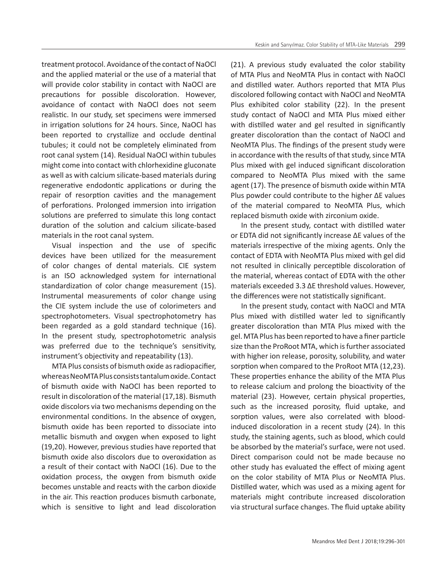treatment protocol. Avoidance of the contact of NaOCl and the applied material or the use of a material that will provide color stability in contact with NaOCl are precautions for possible discoloration. However, avoidance of contact with NaOCl does not seem realistic. In our study, set specimens were immersed in irrigation solutions for 24 hours. Since, NaOCl has been reported to crystallize and occlude dentinal tubules; it could not be completely eliminated from root canal system (14). Residual NaOCl within tubules might come into contact with chlorhexidine gluconate as well as with calcium silicate-based materials during regenerative endodontic applications or during the repair of resorption cavities and the management of perforations. Prolonged immersion into irrigation solutions are preferred to simulate this long contact duration of the solution and calcium silicate-based materials in the root canal system.

Visual inspection and the use of specific devices have been utilized for the measurement of color changes of dental materials. CIE system is an ISO acknowledged system for international standardization of color change measurement (15). Instrumental measurements of color change using the CIE system include the use of colorimeters and spectrophotometers. Visual spectrophotometry has been regarded as a gold standard technique (16). In the present study, spectrophotometric analysis was preferred due to the technique's sensitivity, instrument's objectivity and repeatability (13).

MTA Plus consists of bismuth oxide as radiopacifier, whereas NeoMTA Plus consists tantalum oxide. Contact of bismuth oxide with NaOCl has been reported to result in discoloration of the material (17,18). Bismuth oxide discolors via two mechanisms depending on the environmental conditions. In the absence of oxygen, bismuth oxide has been reported to dissociate into metallic bismuth and oxygen when exposed to light (19,20). However, previous studies have reported that bismuth oxide also discolors due to overoxidation as a result of their contact with NaOCl (16). Due to the oxidation process, the oxygen from bismuth oxide becomes unstable and reacts with the carbon dioxide in the air. This reaction produces bismuth carbonate, which is sensitive to light and lead discoloration

(21). A previous study evaluated the color stability of MTA Plus and NeoMTA Plus in contact with NaOCl and distilled water. Authors reported that MTA Plus discolored following contact with NaOCl and NeoMTA Plus exhibited color stability (22). In the present study contact of NaOCl and MTA Plus mixed either with distilled water and gel resulted in significantly greater discoloration than the contact of NaOCl and NeoMTA Plus. The findings of the present study were in accordance with the results of that study, since MTA Plus mixed with gel induced significant discoloration compared to NeoMTA Plus mixed with the same agent (17). The presence of bismuth oxide within MTA Plus powder could contribute to the higher ΔE values of the material compared to NeoMTA Plus, which replaced bismuth oxide with zirconium oxide.

In the present study, contact with distilled water or EDTA did not significantly increase ΔE values of the materials irrespective of the mixing agents. Only the contact of EDTA with NeoMTA Plus mixed with gel did not resulted in clinically perceptible discoloration of the material, whereas contact of EDTA with the other materials exceeded 3.3 ΔE threshold values. However, the differences were not statistically significant.

In the present study, contact with NaOCl and MTA Plus mixed with distilled water led to significantly greater discoloration than MTA Plus mixed with the gel. MTA Plus has been reported to have a finer particle size than the ProRoot MTA, which is further associated with higher ion release, porosity, solubility, and water sorption when compared to the ProRoot MTA (12,23). These properties enhance the ability of the MTA Plus to release calcium and prolong the bioactivity of the material (23). However, certain physical properties, such as the increased porosity, fluid uptake, and sorption values, were also correlated with bloodinduced discoloration in a recent study (24). In this study, the staining agents, such as blood, which could be absorbed by the material's surface, were not used. Direct comparison could not be made because no other study has evaluated the effect of mixing agent on the color stability of MTA Plus or NeoMTA Plus. Distilled water, which was used as a mixing agent for materials might contribute increased discoloration via structural surface changes. The fluid uptake ability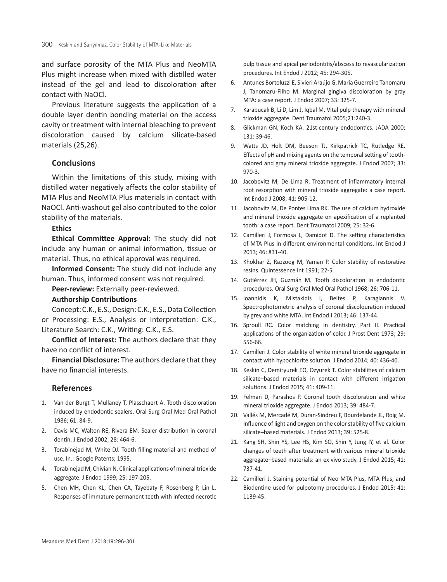and surface porosity of the MTA Plus and NeoMTA Plus might increase when mixed with distilled water instead of the gel and lead to discoloration after contact with NaOCl.

Previous literature suggests the application of a double layer dentin bonding material on the access cavity or treatment with internal bleaching to prevent discoloration caused by calcium silicate-based materials (25,26).

## **Conclusions**

Within the limitations of this study, mixing with distilled water negatively affects the color stability of MTA Plus and NeoMTA Plus materials in contact with NaOCl. Anti-washout gel also contributed to the color stability of the materials.

#### **Ethics**

**Ethical Committee Approval:** The study did not include any human or animal information, tissue or material. Thus, no ethical approval was required.

**Informed Consent:** The study did not include any human. Thus, informed consent was not required.

**Peer-review:** Externally peer-reviewed.

#### **Authorship Contributions**

Concept: C.K., E.S., Design: C.K., E.S., Data Collection or Processing: E.S., Analysis or Interpretation: C.K., Literature Search: C.K., Writing: C.K., E.S.

**Conflict of Interest:** The authors declare that they have no conflict of interest.

**Financial Disclosure:** The authors declare that they have no financial interests.

#### **References**

- 1. Van der Burgt T, Mullaney T, Plasschaert A. Tooth discoloration induced by endodontic sealers. Oral Surg Oral Med Oral Pathol 1986; 61: 84-9.
- 2. Davis MC, Walton RE, Rivera EM. Sealer distribution in coronal dentin. J Endod 2002; 28: 464-6.
- 3. Torabinejad M, White DJ. Tooth filling material and method of use. In.: Google Patents; 1995.
- 4. Torabinejad M, Chivian N. Clinical applications of mineral trioxide aggregate. J Endod 1999; 25: 197-205.
- 5. Chen MH, Chen KL, Chen CA, Tayebaty F, Rosenberg P, Lin L. Responses of immature permanent teeth with infected necrotic

pulp tissue and apical periodontitis/abscess to revascularization procedures. Int Endod J 2012; 45: 294-305.

- 6. Antunes Bortoluzzi E, Sivieri Araújo G, Maria Guerreiro Tanomaru J, Tanomaru-Filho M. Marginal gingiva discoloration by gray MTA: a case report. J Endod 2007; 33: 325-7.
- 7. Karabucak B, Li D, Lim J, Iqbal M. Vital pulp therapy with mineral trioxide aggregate. Dent Traumatol 2005;21:240-3.
- 8. Glickman GN, Koch KA. 21st-century endodontics. JADA 2000; 131: 39-46.
- 9. Watts JD, Holt DM, Beeson TJ, Kirkpatrick TC, Rutledge RE. Effects of pH and mixing agents on the temporal setting of toothcolored and gray mineral trioxide aggregate. J Endod 2007; 33: 970-3.
- 10. Jacobovitz M, De Lima R. Treatment of inflammatory internal root resorption with mineral trioxide aggregate: a case report. Int Endod J 2008; 41: 905-12.
- 11. Jacobovitz M, De Pontes Lima RK. The use of calcium hydroxide and mineral trioxide aggregate on apexification of a replanted tooth: a case report. Dent Traumatol 2009; 25: 32-6.
- 12. Camilleri J, Formosa L, Damidot D. The setting characteristics of MTA Plus in different environmental conditions. Int Endod J 2013; 46: 831-40.
- 13. Khokhar Z, Razzoog M, Yaman P. Color stability of restorative resins. Quintessence Int 1991; 22-5.
- 14. Gutiérrez JH, Guzmán M. Tooth discoloration in endodontic procedures. Oral Surg Oral Med Oral Pathol 1968; 26: 706-11.
- 15. Ioannidis K, Mistakidis I, Beltes P, Karagiannis V. Spectrophotometric analysis of coronal discolouration induced by grey and white MTA. Int Endod J 2013; 46: 137-44.
- 16. Sproull RC. Color matching in dentistry. Part II. Practical applications of the organization of color. J Prost Dent 1973; 29: 556-66.
- 17. Camilleri J. Color stability of white mineral trioxide aggregate in contact with hypochlorite solution. J Endod 2014; 40: 436-40.
- 18. Keskin C, Demiryurek EO, Ozyurek T. Color stabilities of calcium silicate–based materials in contact with different irrigation solutions. J Endod 2015; 41: 409-11.
- 19. Felman D, Parashos P. Coronal tooth discoloration and white mineral trioxide aggregate. J Endod 2013; 39: 484-7.
- 20. Vallés M, Mercadé M, Duran-Sindreu F, Bourdelande JL, Roig M. Influence of light and oxygen on the color stability of five calcium silicate–based materials. J Endod 2013; 39: 525-8.
- 21. Kang SH, Shin YS, Lee HS, Kim SO, Shin Y, Jung IY, et al. Color changes of teeth after treatment with various mineral trioxide aggregate–based materials: an ex vivo study. J Endod 2015; 41: 737-41.
- 22. Camilleri J. Staining potential of Neo MTA Plus, MTA Plus, and Biodentine used for pulpotomy procedures. J Endod 2015; 41: 1139-45.